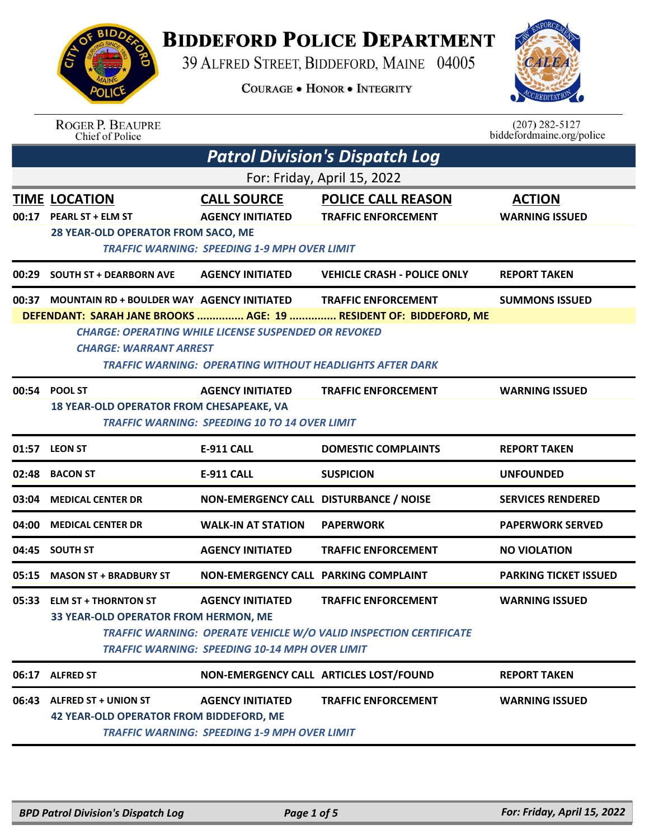## **BIDDEFORD POLICE DEPARTMENT**

39 ALFRED STREET, BIDDEFORD, MAINE 04005

**COURAGE . HONOR . INTEGRITY** 



| <b>ROGER P. BEAUPRE</b> |
|-------------------------|
| Chief of Police         |

 $(207)$  282-5127<br>biddefordmaine.org/police

| <b>Patrol Division's Dispatch Log</b> |                                                                                       |                                                                                                                                |                                                                                                 |                                        |  |  |
|---------------------------------------|---------------------------------------------------------------------------------------|--------------------------------------------------------------------------------------------------------------------------------|-------------------------------------------------------------------------------------------------|----------------------------------------|--|--|
|                                       | For: Friday, April 15, 2022                                                           |                                                                                                                                |                                                                                                 |                                        |  |  |
|                                       | <b>TIME LOCATION</b><br>00:17 PEARL ST + ELM ST<br>28 YEAR-OLD OPERATOR FROM SACO, ME | <b>CALL SOURCE</b><br><b>AGENCY INITIATED</b><br><b>TRAFFIC WARNING: SPEEDING 1-9 MPH OVER LIMIT</b>                           | <b>POLICE CALL REASON</b><br><b>TRAFFIC ENFORCEMENT</b>                                         | <b>ACTION</b><br><b>WARNING ISSUED</b> |  |  |
| 00:29                                 | <b>SOUTH ST + DEARBORN AVE</b>                                                        | <b>AGENCY INITIATED</b>                                                                                                        | <b>VEHICLE CRASH - POLICE ONLY</b>                                                              | <b>REPORT TAKEN</b>                    |  |  |
| 00:37                                 | MOUNTAIN RD + BOULDER WAY AGENCY INITIATED<br><b>CHARGE: WARRANT ARREST</b>           | <b>CHARGE: OPERATING WHILE LICENSE SUSPENDED OR REVOKED</b><br><b>TRAFFIC WARNING: OPERATING WITHOUT HEADLIGHTS AFTER DARK</b> | <b>TRAFFIC ENFORCEMENT</b><br>DEFENDANT: SARAH JANE BROOKS  AGE: 19  RESIDENT OF: BIDDEFORD, ME | <b>SUMMONS ISSUED</b>                  |  |  |
|                                       | 00:54 POOL ST<br>18 YEAR-OLD OPERATOR FROM CHESAPEAKE, VA                             | <b>AGENCY INITIATED</b><br><b>TRAFFIC WARNING: SPEEDING 10 TO 14 OVER LIMIT</b>                                                | <b>TRAFFIC ENFORCEMENT</b>                                                                      | <b>WARNING ISSUED</b>                  |  |  |
|                                       | 01:57 LEON ST                                                                         | <b>E-911 CALL</b>                                                                                                              | <b>DOMESTIC COMPLAINTS</b>                                                                      | <b>REPORT TAKEN</b>                    |  |  |
| 02:48                                 | <b>BACON ST</b>                                                                       | <b>E-911 CALL</b>                                                                                                              | <b>SUSPICION</b>                                                                                | <b>UNFOUNDED</b>                       |  |  |
| 03:04                                 | <b>MEDICAL CENTER DR</b>                                                              | NON-EMERGENCY CALL DISTURBANCE / NOISE                                                                                         |                                                                                                 | <b>SERVICES RENDERED</b>               |  |  |
| 04:00                                 | <b>MEDICAL CENTER DR</b>                                                              | <b>WALK-IN AT STATION</b>                                                                                                      | <b>PAPERWORK</b>                                                                                | <b>PAPERWORK SERVED</b>                |  |  |
| 04:45                                 | <b>SOUTH ST</b>                                                                       | <b>AGENCY INITIATED</b>                                                                                                        | <b>TRAFFIC ENFORCEMENT</b>                                                                      | <b>NO VIOLATION</b>                    |  |  |
| 05:15                                 | <b>MASON ST + BRADBURY ST</b>                                                         | NON-EMERGENCY CALL PARKING COMPLAINT                                                                                           |                                                                                                 | <b>PARKING TICKET ISSUED</b>           |  |  |
| 05:33                                 | <b>ELM ST + THORNTON ST</b><br><b>33 YEAR-OLD OPERATOR FROM HERMON. ME</b>            | <b>AGENCY INITIATED</b><br><b>TRAFFIC WARNING: SPEEDING 10-14 MPH OVER LIMIT</b>                                               | <b>TRAFFIC ENFORCEMENT</b><br>TRAFFIC WARNING: OPERATE VEHICLE W/O VALID INSPECTION CERTIFICATE | <b>WARNING ISSUED</b>                  |  |  |
| 06:17                                 | <b>ALFRED ST</b>                                                                      |                                                                                                                                | NON-EMERGENCY CALL ARTICLES LOST/FOUND                                                          | <b>REPORT TAKEN</b>                    |  |  |
| 06:43                                 | <b>ALFRED ST + UNION ST</b><br><b>42 YEAR-OLD OPERATOR FROM BIDDEFORD, ME</b>         | <b>AGENCY INITIATED</b><br><b>TRAFFIC WARNING: SPEEDING 1-9 MPH OVER LIMIT</b>                                                 | <b>TRAFFIC ENFORCEMENT</b>                                                                      | <b>WARNING ISSUED</b>                  |  |  |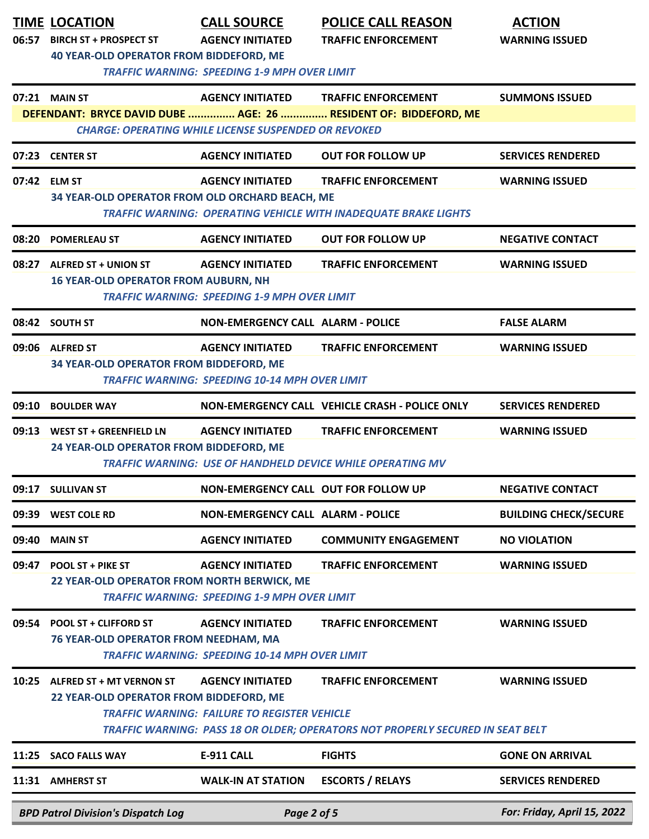|       | <b>TIME LOCATION</b><br>06:57 BIRCH ST + PROSPECT ST<br>40 YEAR-OLD OPERATOR FROM BIDDEFORD, ME | <b>CALL SOURCE</b><br><b>AGENCY INITIATED</b>                                    | <b>POLICE CALL REASON</b><br><b>TRAFFIC ENFORCEMENT</b>                                                      | <b>ACTION</b><br><b>WARNING ISSUED</b> |
|-------|-------------------------------------------------------------------------------------------------|----------------------------------------------------------------------------------|--------------------------------------------------------------------------------------------------------------|----------------------------------------|
|       |                                                                                                 | <b>TRAFFIC WARNING: SPEEDING 1-9 MPH OVER LIMIT</b>                              |                                                                                                              |                                        |
|       | 07:21 MAIN ST                                                                                   | <b>CHARGE: OPERATING WHILE LICENSE SUSPENDED OR REVOKED</b>                      | AGENCY INITIATED TRAFFIC ENFORCEMENT<br>DEFENDANT: BRYCE DAVID DUBE  AGE: 26  RESIDENT OF: BIDDEFORD, ME     | <b>SUMMONS ISSUED</b>                  |
|       | 07:23 CENTER ST                                                                                 | <b>AGENCY INITIATED</b>                                                          | <b>OUT FOR FOLLOW UP</b>                                                                                     | <b>SERVICES RENDERED</b>               |
|       | 07:42 ELM ST                                                                                    | <b>AGENCY INITIATED</b>                                                          | <b>TRAFFIC ENFORCEMENT</b>                                                                                   | <b>WARNING ISSUED</b>                  |
|       | 34 YEAR-OLD OPERATOR FROM OLD ORCHARD BEACH, ME                                                 |                                                                                  | TRAFFIC WARNING: OPERATING VEHICLE WITH INADEQUATE BRAKE LIGHTS                                              |                                        |
| 08:20 | <b>POMERLEAU ST</b>                                                                             | <b>AGENCY INITIATED</b>                                                          | <b>OUT FOR FOLLOW UP</b>                                                                                     | <b>NEGATIVE CONTACT</b>                |
|       | 08:27 ALFRED ST + UNION ST<br><b>16 YEAR-OLD OPERATOR FROM AUBURN, NH</b>                       | <b>AGENCY INITIATED</b><br><b>TRAFFIC WARNING: SPEEDING 1-9 MPH OVER LIMIT</b>   | <b>TRAFFIC ENFORCEMENT</b>                                                                                   | <b>WARNING ISSUED</b>                  |
|       | 08:42 SOUTH ST                                                                                  | <b>NON-EMERGENCY CALL ALARM - POLICE</b>                                         |                                                                                                              | <b>FALSE ALARM</b>                     |
|       | 09:06 ALFRED ST<br>34 YEAR-OLD OPERATOR FROM BIDDEFORD, ME                                      | <b>AGENCY INITIATED</b><br><b>TRAFFIC WARNING: SPEEDING 10-14 MPH OVER LIMIT</b> | <b>TRAFFIC ENFORCEMENT</b>                                                                                   | <b>WARNING ISSUED</b>                  |
| 09:10 | <b>BOULDER WAY</b>                                                                              |                                                                                  | NON-EMERGENCY CALL VEHICLE CRASH - POLICE ONLY                                                               | <b>SERVICES RENDERED</b>               |
|       | 09:13 WEST ST + GREENFIELD LN<br>24 YEAR-OLD OPERATOR FROM BIDDEFORD, ME                        | <b>AGENCY INITIATED</b>                                                          | <b>TRAFFIC ENFORCEMENT</b><br><b>TRAFFIC WARNING: USE OF HANDHELD DEVICE WHILE OPERATING MV</b>              | <b>WARNING ISSUED</b>                  |
| 09:17 | <b>SULLIVAN ST</b>                                                                              | NON-EMERGENCY CALL OUT FOR FOLLOW UP                                             |                                                                                                              | <b>NEGATIVE CONTACT</b>                |
| 09:39 | <b>WEST COLE RD</b>                                                                             | <b>NON-EMERGENCY CALL ALARM - POLICE</b>                                         |                                                                                                              | <b>BUILDING CHECK/SECURE</b>           |
| 09:40 | <b>MAIN ST</b>                                                                                  | <b>AGENCY INITIATED</b>                                                          | <b>COMMUNITY ENGAGEMENT</b>                                                                                  | <b>NO VIOLATION</b>                    |
| 09:47 | POOL ST + PIKE ST<br>22 YEAR-OLD OPERATOR FROM NORTH BERWICK, ME                                | <b>AGENCY INITIATED</b><br><b>TRAFFIC WARNING: SPEEDING 1-9 MPH OVER LIMIT</b>   | <b>TRAFFIC ENFORCEMENT</b>                                                                                   | <b>WARNING ISSUED</b>                  |
| 09:54 | <b>POOL ST + CLIFFORD ST</b><br>76 YEAR-OLD OPERATOR FROM NEEDHAM, MA                           | <b>AGENCY INITIATED</b><br><b>TRAFFIC WARNING: SPEEDING 10-14 MPH OVER LIMIT</b> | <b>TRAFFIC ENFORCEMENT</b>                                                                                   | <b>WARNING ISSUED</b>                  |
| 10:25 | ALFRED ST + MT VERNON ST<br>22 YEAR-OLD OPERATOR FROM BIDDEFORD, ME                             | <b>AGENCY INITIATED</b><br><b>TRAFFIC WARNING: FAILURE TO REGISTER VEHICLE</b>   | <b>TRAFFIC ENFORCEMENT</b><br>TRAFFIC WARNING: PASS 18 OR OLDER; OPERATORS NOT PROPERLY SECURED IN SEAT BELT | <b>WARNING ISSUED</b>                  |
| 11:25 | <b>SACO FALLS WAY</b>                                                                           | E-911 CALL                                                                       | <b>FIGHTS</b>                                                                                                | <b>GONE ON ARRIVAL</b>                 |
|       | 11:31 AMHERST ST                                                                                | <b>WALK-IN AT STATION</b>                                                        | <b>ESCORTS / RELAYS</b>                                                                                      | <b>SERVICES RENDERED</b>               |
|       | <b>BPD Patrol Division's Dispatch Log</b>                                                       | Page 2 of 5                                                                      |                                                                                                              | For: Friday, April 15, 2022            |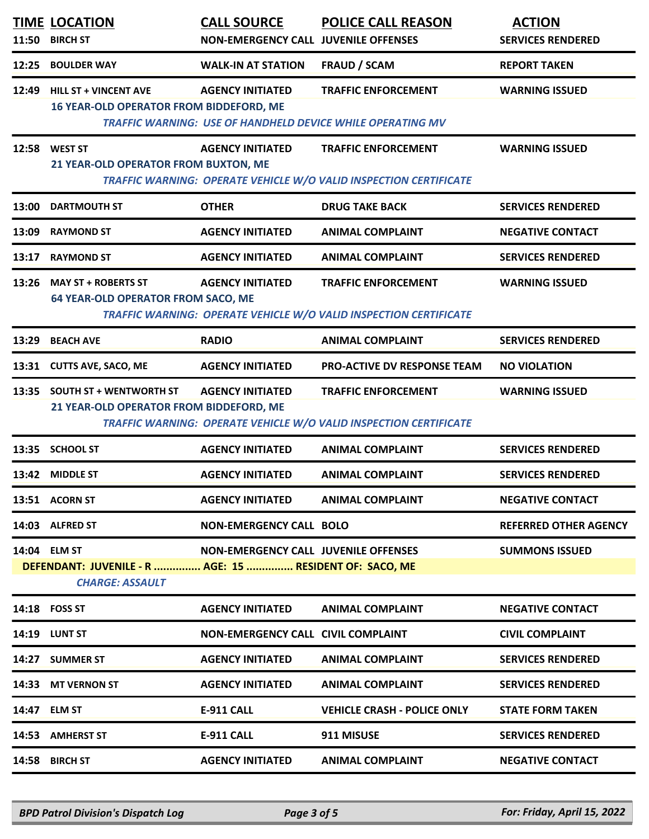| 11:50 | <b>TIME LOCATION</b><br><b>BIRCH ST</b>                                                           | <b>CALL SOURCE</b><br><b>NON-EMERGENCY CALL JUVENILE OFFENSES</b> | <b>POLICE CALL REASON</b>                                                                              | <b>ACTION</b><br><b>SERVICES RENDERED</b> |
|-------|---------------------------------------------------------------------------------------------------|-------------------------------------------------------------------|--------------------------------------------------------------------------------------------------------|-------------------------------------------|
| 12:25 | <b>BOULDER WAY</b>                                                                                | <b>WALK-IN AT STATION</b>                                         | <b>FRAUD / SCAM</b>                                                                                    | <b>REPORT TAKEN</b>                       |
| 12:49 | <b>HILL ST + VINCENT AVE</b><br><b>16 YEAR-OLD OPERATOR FROM BIDDEFORD, ME</b>                    | <b>AGENCY INITIATED</b>                                           | <b>TRAFFIC ENFORCEMENT</b><br><b>TRAFFIC WARNING: USE OF HANDHELD DEVICE WHILE OPERATING MV</b>        | <b>WARNING ISSUED</b>                     |
| 12:58 | <b>WEST ST</b><br>21 YEAR-OLD OPERATOR FROM BUXTON, ME                                            | <b>AGENCY INITIATED</b>                                           | <b>TRAFFIC ENFORCEMENT</b><br>TRAFFIC WARNING: OPERATE VEHICLE W/O VALID INSPECTION CERTIFICATE        | <b>WARNING ISSUED</b>                     |
| 13:00 | <b>DARTMOUTH ST</b>                                                                               | <b>OTHER</b>                                                      | <b>DRUG TAKE BACK</b>                                                                                  | <b>SERVICES RENDERED</b>                  |
| 13:09 | <b>RAYMOND ST</b>                                                                                 | <b>AGENCY INITIATED</b>                                           | <b>ANIMAL COMPLAINT</b>                                                                                | <b>NEGATIVE CONTACT</b>                   |
| 13:17 | <b>RAYMOND ST</b>                                                                                 | <b>AGENCY INITIATED</b>                                           | <b>ANIMAL COMPLAINT</b>                                                                                | <b>SERVICES RENDERED</b>                  |
|       | 13:26 MAY ST + ROBERTS ST<br><b>64 YEAR-OLD OPERATOR FROM SACO, ME</b>                            | <b>AGENCY INITIATED</b>                                           | <b>TRAFFIC ENFORCEMENT</b><br>TRAFFIC WARNING: OPERATE VEHICLE W/O VALID INSPECTION CERTIFICATE        | <b>WARNING ISSUED</b>                     |
| 13:29 | <b>BEACH AVE</b>                                                                                  | <b>RADIO</b>                                                      | <b>ANIMAL COMPLAINT</b>                                                                                | <b>SERVICES RENDERED</b>                  |
|       | 13:31 CUTTS AVE, SACO, ME                                                                         | <b>AGENCY INITIATED</b>                                           | PRO-ACTIVE DV RESPONSE TEAM                                                                            | <b>NO VIOLATION</b>                       |
|       | 13:35 SOUTH ST + WENTWORTH ST<br>21 YEAR-OLD OPERATOR FROM BIDDEFORD, ME                          | <b>AGENCY INITIATED</b>                                           | <b>TRAFFIC ENFORCEMENT</b><br><b>TRAFFIC WARNING: OPERATE VEHICLE W/O VALID INSPECTION CERTIFICATE</b> | <b>WARNING ISSUED</b>                     |
|       | 13:35 SCHOOL ST                                                                                   | <b>AGENCY INITIATED</b>                                           | <b>ANIMAL COMPLAINT</b>                                                                                | <b>SERVICES RENDERED</b>                  |
|       | 13:42 MIDDLE ST                                                                                   | <b>AGENCY INITIATED</b>                                           | <b>ANIMAL COMPLAINT</b>                                                                                | <b>SERVICES RENDERED</b>                  |
|       | 13:51 ACORN ST                                                                                    | <b>AGENCY INITIATED</b>                                           | <b>ANIMAL COMPLAINT</b>                                                                                | <b>NEGATIVE CONTACT</b>                   |
|       | 14:03 ALFRED ST                                                                                   | <b>NON-EMERGENCY CALL BOLO</b>                                    |                                                                                                        | <b>REFERRED OTHER AGENCY</b>              |
|       | 14:04 ELM ST<br>DEFENDANT: JUVENILE - R  AGE: 15  RESIDENT OF: SACO, ME<br><b>CHARGE: ASSAULT</b> | <b>NON-EMERGENCY CALL JUVENILE OFFENSES</b>                       |                                                                                                        | <b>SUMMONS ISSUED</b>                     |
|       | 14:18 FOSS ST                                                                                     | <b>AGENCY INITIATED</b>                                           | <b>ANIMAL COMPLAINT</b>                                                                                | <b>NEGATIVE CONTACT</b>                   |
|       | <b>14:19 LUNT ST</b>                                                                              | <b>NON-EMERGENCY CALL CIVIL COMPLAINT</b>                         |                                                                                                        | <b>CIVIL COMPLAINT</b>                    |
|       | 14:27 SUMMER ST                                                                                   | <b>AGENCY INITIATED</b>                                           | <b>ANIMAL COMPLAINT</b>                                                                                | <b>SERVICES RENDERED</b>                  |
|       | 14:33 MT VERNON ST                                                                                | <b>AGENCY INITIATED</b>                                           | <b>ANIMAL COMPLAINT</b>                                                                                | <b>SERVICES RENDERED</b>                  |
|       | 14:47 ELM ST                                                                                      | <b>E-911 CALL</b>                                                 | <b>VEHICLE CRASH - POLICE ONLY</b>                                                                     | <b>STATE FORM TAKEN</b>                   |
|       | 14:53 AMHERST ST                                                                                  | <b>E-911 CALL</b>                                                 | 911 MISUSE                                                                                             | <b>SERVICES RENDERED</b>                  |
|       | 14:58 BIRCH ST                                                                                    | <b>AGENCY INITIATED</b>                                           | <b>ANIMAL COMPLAINT</b>                                                                                | <b>NEGATIVE CONTACT</b>                   |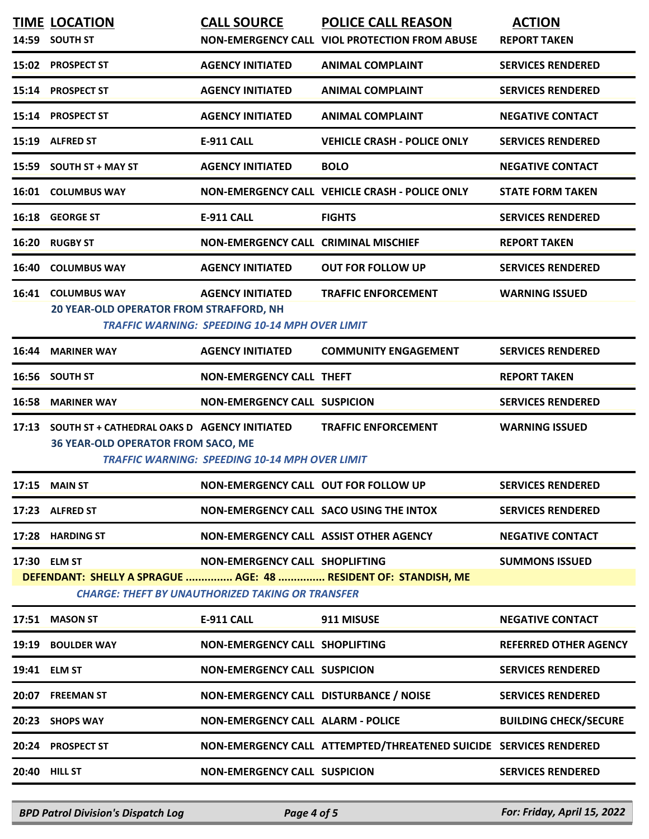|       | <b>TIME LOCATION</b><br>14:59 SOUTH ST                                                                                                                                                                       | <b>CALL SOURCE</b>                                                               | <b>POLICE CALL REASON</b><br>NON-EMERGENCY CALL VIOL PROTECTION FROM ABUSE | <b>ACTION</b><br><b>REPORT TAKEN</b> |  |  |
|-------|--------------------------------------------------------------------------------------------------------------------------------------------------------------------------------------------------------------|----------------------------------------------------------------------------------|----------------------------------------------------------------------------|--------------------------------------|--|--|
|       | 15:02 PROSPECT ST                                                                                                                                                                                            | <b>AGENCY INITIATED</b>                                                          | <b>ANIMAL COMPLAINT</b>                                                    | <b>SERVICES RENDERED</b>             |  |  |
|       | 15:14 PROSPECT ST                                                                                                                                                                                            | <b>AGENCY INITIATED</b>                                                          | <b>ANIMAL COMPLAINT</b>                                                    | <b>SERVICES RENDERED</b>             |  |  |
|       | 15:14 PROSPECT ST                                                                                                                                                                                            | <b>AGENCY INITIATED</b>                                                          | <b>ANIMAL COMPLAINT</b>                                                    | <b>NEGATIVE CONTACT</b>              |  |  |
|       | 15:19 ALFRED ST                                                                                                                                                                                              | <b>E-911 CALL</b>                                                                | <b>VEHICLE CRASH - POLICE ONLY</b>                                         | <b>SERVICES RENDERED</b>             |  |  |
|       | 15:59 SOUTH ST + MAY ST                                                                                                                                                                                      | <b>AGENCY INITIATED</b>                                                          | <b>BOLO</b>                                                                | <b>NEGATIVE CONTACT</b>              |  |  |
|       | 16:01 COLUMBUS WAY                                                                                                                                                                                           |                                                                                  | NON-EMERGENCY CALL VEHICLE CRASH - POLICE ONLY                             | <b>STATE FORM TAKEN</b>              |  |  |
|       | 16:18 GEORGE ST                                                                                                                                                                                              | <b>E-911 CALL</b>                                                                | <b>FIGHTS</b>                                                              | <b>SERVICES RENDERED</b>             |  |  |
|       | 16:20 RUGBY ST                                                                                                                                                                                               | <b>NON-EMERGENCY CALL CRIMINAL MISCHIEF</b>                                      |                                                                            | <b>REPORT TAKEN</b>                  |  |  |
|       | <b>16:40 COLUMBUS WAY</b>                                                                                                                                                                                    | <b>AGENCY INITIATED</b>                                                          | <b>OUT FOR FOLLOW UP</b>                                                   | <b>SERVICES RENDERED</b>             |  |  |
|       | 16:41 COLUMBUS WAY<br>20 YEAR-OLD OPERATOR FROM STRAFFORD, NH                                                                                                                                                | <b>AGENCY INITIATED</b><br><b>TRAFFIC WARNING: SPEEDING 10-14 MPH OVER LIMIT</b> | <b>TRAFFIC ENFORCEMENT</b>                                                 | <b>WARNING ISSUED</b>                |  |  |
| 16:44 | <b>MARINER WAY</b>                                                                                                                                                                                           | <b>AGENCY INITIATED</b>                                                          | <b>COMMUNITY ENGAGEMENT</b>                                                | <b>SERVICES RENDERED</b>             |  |  |
|       | 16:56 SOUTH ST                                                                                                                                                                                               | <b>NON-EMERGENCY CALL THEFT</b>                                                  |                                                                            | <b>REPORT TAKEN</b>                  |  |  |
|       | <b>16:58 MARINER WAY</b>                                                                                                                                                                                     | <b>NON-EMERGENCY CALL SUSPICION</b>                                              |                                                                            | <b>SERVICES RENDERED</b>             |  |  |
| 17:13 | SOUTH ST + CATHEDRAL OAKS D AGENCY INITIATED<br><b>36 YEAR-OLD OPERATOR FROM SACO, ME</b>                                                                                                                    | <b>TRAFFIC WARNING: SPEEDING 10-14 MPH OVER LIMIT</b>                            | <b>TRAFFIC ENFORCEMENT</b>                                                 | <b>WARNING ISSUED</b>                |  |  |
| 17:15 | <b>MAIN ST</b>                                                                                                                                                                                               | NON-EMERGENCY CALL OUT FOR FOLLOW UP                                             |                                                                            | <b>SERVICES RENDERED</b>             |  |  |
|       | 17:23 ALFRED ST                                                                                                                                                                                              |                                                                                  | NON-EMERGENCY CALL SACO USING THE INTOX                                    | <b>SERVICES RENDERED</b>             |  |  |
|       | 17:28 HARDING ST                                                                                                                                                                                             | NON-EMERGENCY CALL ASSIST OTHER AGENCY                                           |                                                                            | <b>NEGATIVE CONTACT</b>              |  |  |
|       | 17:30 ELM ST<br><b>NON-EMERGENCY CALL SHOPLIFTING</b><br><b>SUMMONS ISSUED</b><br>DEFENDANT: SHELLY A SPRAGUE  AGE: 48  RESIDENT OF: STANDISH, ME<br><b>CHARGE: THEFT BY UNAUTHORIZED TAKING OR TRANSFER</b> |                                                                                  |                                                                            |                                      |  |  |
|       | 17:51 MASON ST                                                                                                                                                                                               | <b>E-911 CALL</b>                                                                | 911 MISUSE                                                                 | <b>NEGATIVE CONTACT</b>              |  |  |
|       | 19:19 BOULDER WAY                                                                                                                                                                                            | NON-EMERGENCY CALL SHOPLIFTING                                                   |                                                                            | <b>REFERRED OTHER AGENCY</b>         |  |  |
|       | 19:41 ELM ST                                                                                                                                                                                                 | <b>NON-EMERGENCY CALL SUSPICION</b>                                              |                                                                            | <b>SERVICES RENDERED</b>             |  |  |
|       | 20:07 FREEMAN ST                                                                                                                                                                                             | NON-EMERGENCY CALL DISTURBANCE / NOISE                                           |                                                                            | <b>SERVICES RENDERED</b>             |  |  |
|       | 20:23 SHOPS WAY                                                                                                                                                                                              | <b>NON-EMERGENCY CALL ALARM - POLICE</b>                                         |                                                                            | <b>BUILDING CHECK/SECURE</b>         |  |  |
|       | 20:24 PROSPECT ST                                                                                                                                                                                            |                                                                                  | NON-EMERGENCY CALL ATTEMPTED/THREATENED SUICIDE SERVICES RENDERED          |                                      |  |  |
|       | <b>20:40 HILL ST</b>                                                                                                                                                                                         | <b>NON-EMERGENCY CALL SUSPICION</b>                                              |                                                                            | <b>SERVICES RENDERED</b>             |  |  |
|       |                                                                                                                                                                                                              |                                                                                  |                                                                            |                                      |  |  |